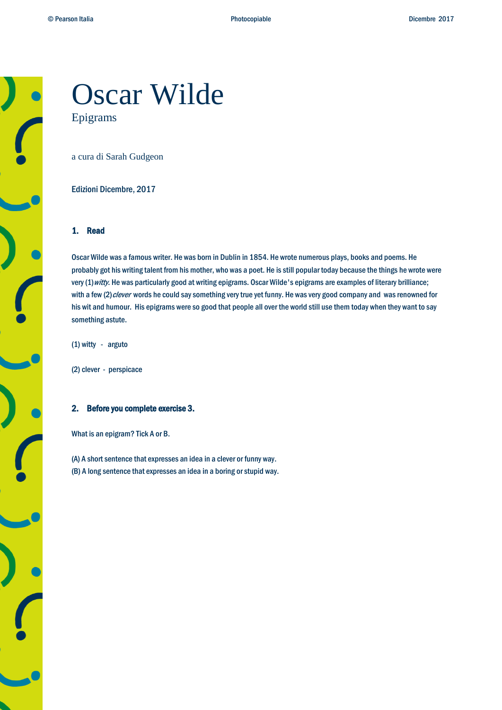# Oscar Wilde Epigrams

a cura di Sarah Gudgeon

Edizioni Dicembre, 2017

## 1. Read

Oscar Wilde was a famous writer. He was born in Dublin in 1854. He wrote numerous plays, books and poems. He probably got his writing talent from his mother, who was a poet. He is still popular today because the things he wrote were very (1) witty. He was particularly good at writing epigrams. Oscar Wilde's epigrams are examples of literary brilliance; with a few (2) clever words he could say something very true yet funny. He was very good company and was renowned for his wit and humour. His epigrams were so good that people all over the world still use them today when they want to say something astute.

(1) witty - arguto

(2) clever - perspicace

## 2. Before you complete exercise 3.

What is an epigram? Tick A or B.

(A) A short sentence that expresses an idea in a clever or funny way. (B) A long sentence that expresses an idea in a boring or stupid way.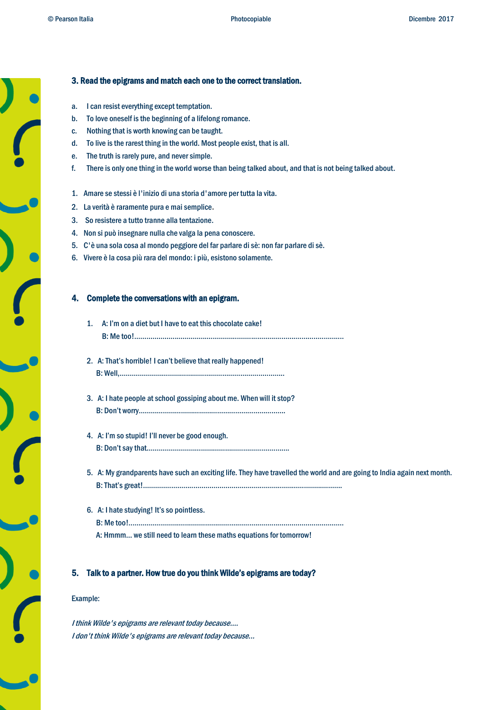## 3. Read the epigrams and match each one to the correct translation.

- a. I can resist everything except temptation.
- b. To love oneself is the beginning of a lifelong romance.
- c. Nothing that is worth knowing can be taught.
- d. To live is the rarest thing in the world. Most people exist, that is all.
- e. The truth is rarely pure, and never simple.
- f. There is only one thing in the world worse than being talked about, and that is not being talked about.
- 1. Amare se stessi è l'inizio di una storia d'amore per tutta la vita.
- 2. La verità è raramente pura e mai semplice.
- 3. So resistere a tutto tranne alla tentazione.
- 4. Non si può insegnare nulla che valga la pena conoscere.
- 5. C'è una sola cosa al mondo peggiore del far parlare di sè: non far parlare di sè.
- 6. Vivere è la cosa più rara del mondo: i più, esistono solamente.

### 4. Complete the conversations with an epigram.

- 1. A: I'm on a diet but I have to eat this chocolate cake! B: Me too!........................................................................................................
- 2. A: That's horrible! I can't believe that really happened! B: Well,………………………………………………………………..……..
- 3. A: I hate people at school gossiping about me. When will it stop? B: Don't worry……………………………………………………………….
- 4. A: I'm so stupid! I'll never be good enough. B: Don't say that………………………………………………….………….
- 5. A: My grandparents have such an exciting life. They have travelled the world and are going to India again next month. B: That's great!...................................................................................................

## 6. A: I hate studying! It's so pointless. B: Me too!........................................................................................................... A: Hmmm… we still need to learn these maths equations for tomorrow!

### 5. Talk to a partner. How true do you think Wilde's epigrams are today?

#### Example:

I think Wilde's epigrams are relevant today because.... I don't think Wilde's epigrams are relevant today because...